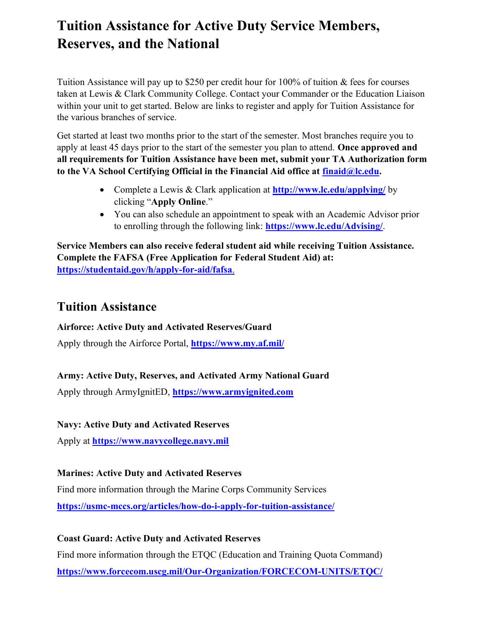# **Tuition Assistance for Active Duty Service Members, Reserves, and the National**

Tuition Assistance will pay up to \$250 per credit hour for 100% of tuition & fees for courses taken at Lewis & Clark Community College. Contact your Commander or the Education Liaison within your unit to get started. Below are links to register and apply for Tuition Assistance for the various branches of service.

Get started at least two months prior to the start of the semester. Most branches require you to apply at least 45 days prior to the start of the semester you plan to attend. **Once approved and all requirements for Tuition Assistance have been met, submit your TA Authorization form to the VA School Certifying Official in the Financial Aid office at [finaid@lc.edu.](mailto:finaid@lc.edu)**

- Complete a Lewis & Clark application at **http://www.lc.edu/applying/** by clicking "**Apply Online**."
- You can also schedule an appointment to speak with an Academic Advisor prior to enrolling through the following link: **<https://www.lc.edu/Advising/>**.

**Service Members can also receive federal student aid while receiving Tuition Assistance. Complete the FAFSA (Free Application for Federal Student Aid) at: <https://studentaid.gov/h/apply-for-aid/fafsa>**.

# **Tuition Assistance**

## **Airforce: Active Duty and Activated Reserves/Guard**

Apply through the Airforce Portal, **<https://www.my.af.mil/>**

## **Army: Active Duty, Reserves, and Activated Army National Guard**

Apply through ArmyIgnitED, **[https://www.armyignited.com](https://www.armyignited.com/)**

#### **Navy: Active Duty and Activated Reserves**

Apply at **[https://www.navycollege.navy.mil](https://www.navycollege.navy.mil/)**

## **Marines: Active Duty and Activated Reserves**

Find more information through the Marine Corps Community Services **<https://usmc-mccs.org/articles/how-do-i-apply-for-tuition-assistance/>**

## **Coast Guard: Active Duty and Activated Reserves**

Find more information through the ETQC (Education and Training Quota Command) **<https://www.forcecom.uscg.mil/Our-Organization/FORCECOM-UNITS/ETQC/>**